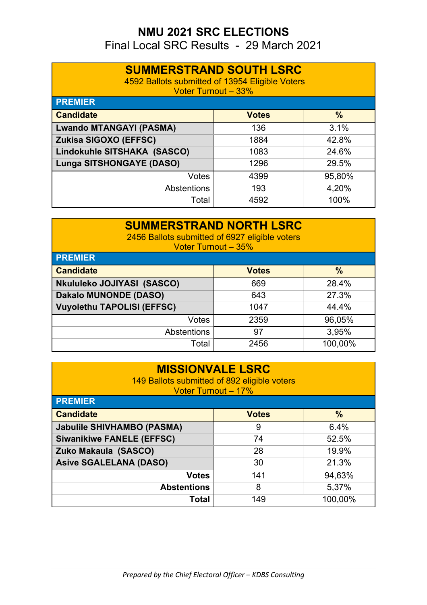Final Local SRC Results - 29 March 2021

| <b>SUMMERSTRAND SOUTH LSRC</b><br>4592 Ballots submitted of 13954 Eligible Voters<br><b>Voter Turnout - 33%</b> |              |               |  |
|-----------------------------------------------------------------------------------------------------------------|--------------|---------------|--|
| <b>PREMIER</b>                                                                                                  |              |               |  |
| <b>Candidate</b>                                                                                                | <b>Votes</b> | $\frac{9}{6}$ |  |
| <b>Lwando MTANGAYI (PASMA)</b>                                                                                  | 136          | 3.1%          |  |
| <b>Zukisa SIGOXO (EFFSC)</b><br>42.8%<br>1884                                                                   |              |               |  |
| Lindokuhle SITSHAKA (SASCO)                                                                                     | 1083         | 24.6%         |  |
| <b>Lunga SITSHONGAYE (DASO)</b>                                                                                 | 1296         | 29.5%         |  |
| Votes                                                                                                           | 4399         | 95,80%        |  |
| Abstentions                                                                                                     | 193          | 4,20%         |  |
| Total                                                                                                           | 4592         | 100%          |  |

| <b>SUMMERSTRAND NORTH LSRC</b><br>2456 Ballots submitted of 6927 eligible voters<br><b>Voter Turnout - 35%</b><br><b>PREMIER</b> |              |               |  |
|----------------------------------------------------------------------------------------------------------------------------------|--------------|---------------|--|
| <b>Candidate</b>                                                                                                                 | <b>Votes</b> | $\frac{0}{0}$ |  |
| Nkululeko JOJIYASI (SASCO)                                                                                                       | 669          | 28.4%         |  |
| <b>Dakalo MUNONDE (DASO)</b><br>27.3%<br>643                                                                                     |              |               |  |
| <b>Vuyolethu TAPOLISI (EFFSC)</b>                                                                                                | 1047         | 44.4%         |  |
| <b>Votes</b>                                                                                                                     | 2359         | 96,05%        |  |
| <b>Abstentions</b>                                                                                                               | 97           | 3,95%         |  |
| Total                                                                                                                            | 2456         | 100,00%       |  |

| <b>MISSIONVALE LSRC</b><br>149 Ballots submitted of 892 eligible voters<br><b>Voter Turnout - 17%</b> |              |         |  |
|-------------------------------------------------------------------------------------------------------|--------------|---------|--|
| <b>PREMIER</b>                                                                                        |              |         |  |
| <b>Candidate</b>                                                                                      | <b>Votes</b> | $\%$    |  |
| <b>Jabulile SHIVHAMBO (PASMA)</b>                                                                     | 9            | 6.4%    |  |
| <b>Siwanikiwe FANELE (EFFSC)</b><br>74<br>52.5%                                                       |              |         |  |
| Zuko Makaula (SASCO)<br>19.9%<br>28                                                                   |              |         |  |
| <b>Asive SGALELANA (DASO)</b>                                                                         | 30           | 21.3%   |  |
| <b>Votes</b>                                                                                          | 141          | 94,63%  |  |
| <b>Abstentions</b>                                                                                    | 8            | 5,37%   |  |
| <b>Total</b>                                                                                          | 149          | 100,00% |  |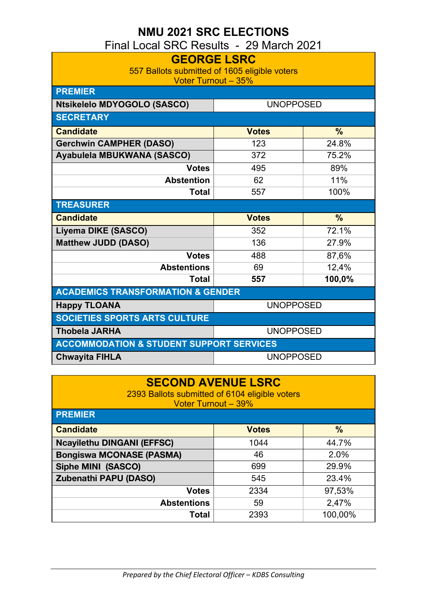Final Local SRC Results - 29 March 2021

| <b>GEORGE LSRC</b>                                                          |                  |               |
|-----------------------------------------------------------------------------|------------------|---------------|
| 557 Ballots submitted of 1605 eligible voters<br><b>Voter Turnout - 35%</b> |                  |               |
| <b>PREMIER</b>                                                              |                  |               |
| Ntsikelelo MDYOGOLO (SASCO)                                                 | <b>UNOPPOSED</b> |               |
| <b>SECRETARY</b>                                                            |                  |               |
| <b>Candidate</b>                                                            | <b>Votes</b>     | $\frac{0}{0}$ |
| <b>Gerchwin CAMPHER (DASO)</b>                                              | 123              | 24.8%         |
| Ayabulela MBUKWANA (SASCO)                                                  | 372              | 75.2%         |
| <b>Votes</b>                                                                | 495              | 89%           |
| <b>Abstention</b>                                                           | 62               | 11%           |
| <b>Total</b>                                                                | 557              | 100%          |
| <b>TREASURER</b>                                                            |                  |               |
| <b>Candidate</b>                                                            | <b>Votes</b>     | $\frac{0}{0}$ |
| Liyema DIKE (SASCO)                                                         | 352              | 72.1%         |
| <b>Matthew JUDD (DASO)</b>                                                  | 136              | 27.9%         |
| <b>Votes</b>                                                                | 488              | 87,6%         |
| <b>Abstentions</b>                                                          | 69               | 12,4%         |
| <b>Total</b>                                                                | 557              | 100,0%        |
| <b>ACADEMICS TRANSFORMATION &amp; GENDER</b>                                |                  |               |
| <b>Happy TLOANA</b>                                                         | <b>UNOPPOSED</b> |               |
| <b>SOCIETIES SPORTS ARTS CULTURE</b>                                        |                  |               |
| <b>Thobela JARHA</b>                                                        | <b>UNOPPOSED</b> |               |
| <b>ACCOMMODATION &amp; STUDENT SUPPORT SERVICES</b>                         |                  |               |
| <b>Chwayita FIHLA</b>                                                       | <b>UNOPPOSED</b> |               |

#### **SECOND AVENUE LSRC**

2393 Ballots submitted of 6104 eligible voters Voter Turnout – 39%

| <b>PREMIER</b>                    |              |               |
|-----------------------------------|--------------|---------------|
| <b>Candidate</b>                  | <b>Votes</b> | $\frac{0}{0}$ |
| <b>Ncayilethu DINGANI (EFFSC)</b> | 1044         | 44.7%         |
| <b>Bongiswa MCONASE (PASMA)</b>   | 46           | 2.0%          |
| Siphe MINI (SASCO)                | 699          | 29.9%         |
| <b>Zubenathi PAPU (DASO)</b>      | 545          | 23.4%         |
| <b>Votes</b>                      | 2334         | 97,53%        |
| <b>Abstentions</b>                | 59           | 2,47%         |
| Total                             | 2393         | 100,00%       |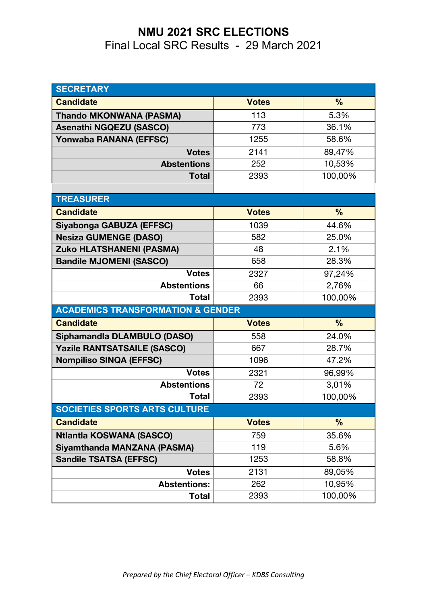Final Local SRC Results - 29 March 2021

| <b>SECRETARY</b>                             |              |               |
|----------------------------------------------|--------------|---------------|
| <b>Candidate</b>                             | <b>Votes</b> | $\frac{9}{6}$ |
| <b>Thando MKONWANA (PASMA)</b>               | 113          | 5.3%          |
| <b>Asenathi NGQEZU (SASCO)</b>               | 773          | 36.1%         |
| Yonwaba RANANA (EFFSC)                       | 1255         | 58.6%         |
| <b>Votes</b>                                 | 2141         | 89,47%        |
| <b>Abstentions</b>                           | 252          | 10,53%        |
| <b>Total</b>                                 | 2393         | 100,00%       |
|                                              |              |               |
| <b>TREASURER</b>                             |              |               |
| <b>Candidate</b>                             | <b>Votes</b> | $\frac{9}{6}$ |
| Siyabonga GABUZA (EFFSC)                     | 1039         | 44.6%         |
| <b>Nesiza GUMENGE (DASO)</b>                 | 582          | 25.0%         |
| <b>Zuko HLATSHANENI (PASMA)</b>              | 48           | 2.1%          |
| <b>Bandile MJOMENI (SASCO)</b>               | 658          | 28.3%         |
| <b>Votes</b>                                 | 2327         | 97,24%        |
| <b>Abstentions</b>                           | 66           | 2,76%         |
| <b>Total</b>                                 | 2393         | 100,00%       |
| <b>ACADEMICS TRANSFORMATION &amp; GENDER</b> |              |               |
| <b>Candidate</b>                             | <b>Votes</b> | $\frac{9}{6}$ |
| Siphamandla DLAMBULO (DASO)                  | 558          | 24.0%         |
| <b>Yazile RANTSATSAILE (SASCO)</b>           | 667          | 28.7%         |
| <b>Nompiliso SINQA (EFFSC)</b>               | 1096         | 47.2%         |
| <b>Votes</b>                                 | 2321         | 96,99%        |
| <b>Abstentions</b>                           | 72           | 3,01%         |
| <b>Total</b>                                 | 2393         | 100,00%       |
| SOCIETIES SPORTS ARTS CULTURE                |              |               |
| <b>Candidate</b>                             | <b>Votes</b> | %             |
| <b>Ntlantla KOSWANA (SASCO)</b>              | 759          | 35.6%         |
| Siyamthanda MANZANA (PASMA)                  | 119          | 5.6%          |
| <b>Sandile TSATSA (EFFSC)</b>                | 1253         | 58.8%         |
| <b>Votes</b>                                 | 2131         | 89,05%        |
| <b>Abstentions:</b>                          | 262          | 10,95%        |
| <b>Total</b>                                 | 2393         | 100,00%       |